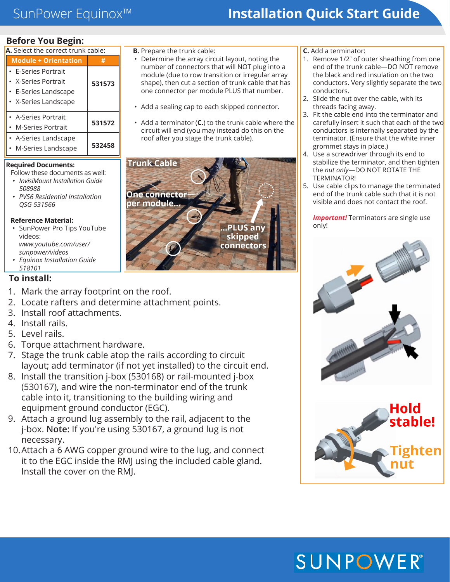## SunPower Equinox™ **Installation Quick Start Guide**

### **Before You Begin:**

| A. Select the correct trunk cable: |        |
|------------------------------------|--------|
| <b>Module + Orientation</b>        |        |
| • E-Series Portrait                |        |
| • X-Series Portrait                | 531573 |
| • E-Series Landscape               |        |
| • X-Series Landscape               |        |
| • A-Series Portrait                |        |
| • M-Series Portrait                | 531572 |
| • A-Series Landscape               |        |
| M-Series Landscape                 | 532458 |
|                                    |        |

### **Required Documents:**

Follow these documents as well:

- *• InvisiMount Installation Guide 508988*
- *• PVS6 Residential Installation QSG 531566*

### **Reference Material:**

- SunPower Pro Tips YouTube videos: *www.youtube.com/user/ sunpower/videos*
- *• Equinox Installation Guide 518101*

### **To install:**

- 1. Mark the array footprint on the roof.
- 2. Locate rafters and determine attachment points.
- 3. Install roof attachments.
- 4. Install rails.
- 5. Level rails.
- 6. Torque attachment hardware.
- 7. Stage the trunk cable atop the rails according to circuit layout; add terminator (if not yet installed) to the circuit end.
- 8. Install the transition j-box (530168) or rail-mounted j-box (530167), and wire the non-terminator end of the trunk cable into it, transitioning to the building wiring and equipment ground conductor (EGC).
- 9. Attach a ground lug assembly to the rail, adjacent to the j-box. **Note:** If you're using 530167, a ground lug is not necessary.
- 10.Attach a 6 AWG copper ground wire to the lug, and connect it to the EGC inside the RMJ using the included cable gland. Install the cover on the RMJ.
- **B.** Prepare the trunk cable:
- Determine the array circuit layout, noting the number of connectors that will NOT plug into a module (due to row transition or irregular array shape), then cut a section of trunk cable that has one connector per module PLUS that number.
- Add a sealing cap to each skipped connector.
- Add a terminator (**C.**) to the trunk cable where the circuit will end (you may instead do this on the roof after you stage the trunk cable).



**C.** Add a terminator:

- 1. Remove 1/2" of outer sheathing from one end of the trunk cable—DO NOT remove the black and red insulation on the two conductors. Very slightly separate the two conductors.
- 2. Slide the nut over the cable, with its threads facing away.
- 3. Fit the cable end into the terminator and carefully insert it such that each of the two conductors is internally separated by the terminator. (Ensure that the white inner grommet stays in place.)
- 4. Use a screwdriver through its end to stabilize the terminator, and then tighten the *nut only*—DO NOT ROTATE THE TERMINATOR!
- 5. Use cable clips to manage the terminated end of the trunk cable such that it is not visible and does not contact the roof.

**Important!** Terminators are single use only!



# **SUNPOWER®**